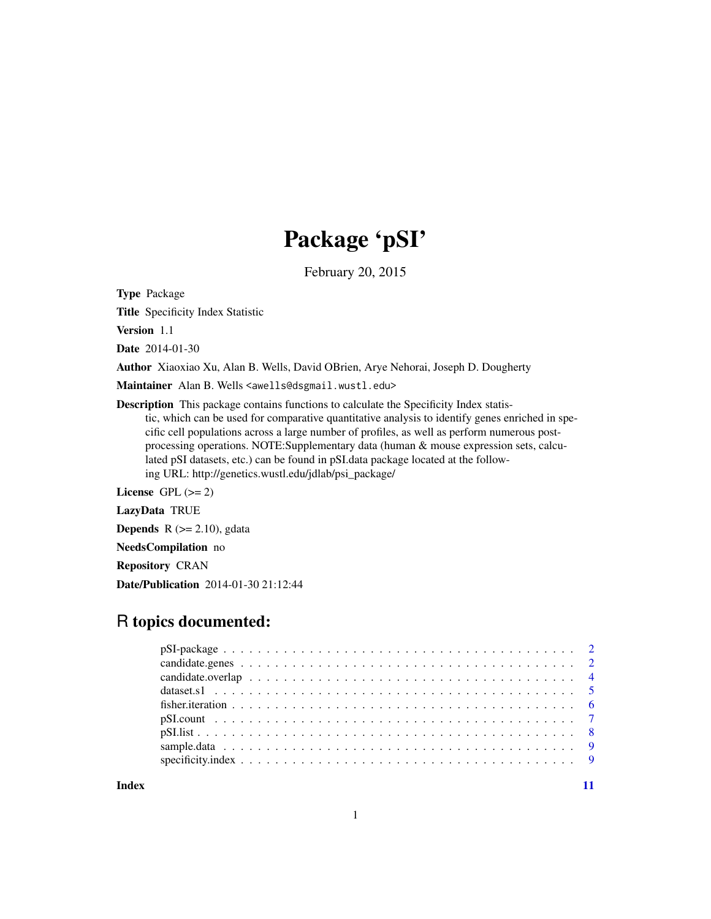## Package 'pSI'

February 20, 2015

Type Package

Title Specificity Index Statistic

Version 1.1

Date 2014-01-30

Author Xiaoxiao Xu, Alan B. Wells, David OBrien, Arye Nehorai, Joseph D. Dougherty

Maintainer Alan B. Wells <awells@dsgmail.wustl.edu>

Description This package contains functions to calculate the Specificity Index statistic, which can be used for comparative quantitative analysis to identify genes enriched in specific cell populations across a large number of profiles, as well as perform numerous postprocessing operations. NOTE:Supplementary data (human & mouse expression sets, calculated pSI datasets, etc.) can be found in pSI.data package located at the following URL: http://genetics.wustl.edu/jdlab/psi\_package/

License GPL  $(>= 2)$ 

LazyData TRUE

**Depends** R  $(>= 2.10)$ , gdata

NeedsCompilation no

Repository CRAN

Date/Publication 2014-01-30 21:12:44

### R topics documented:

**Index** [11](#page-10-0)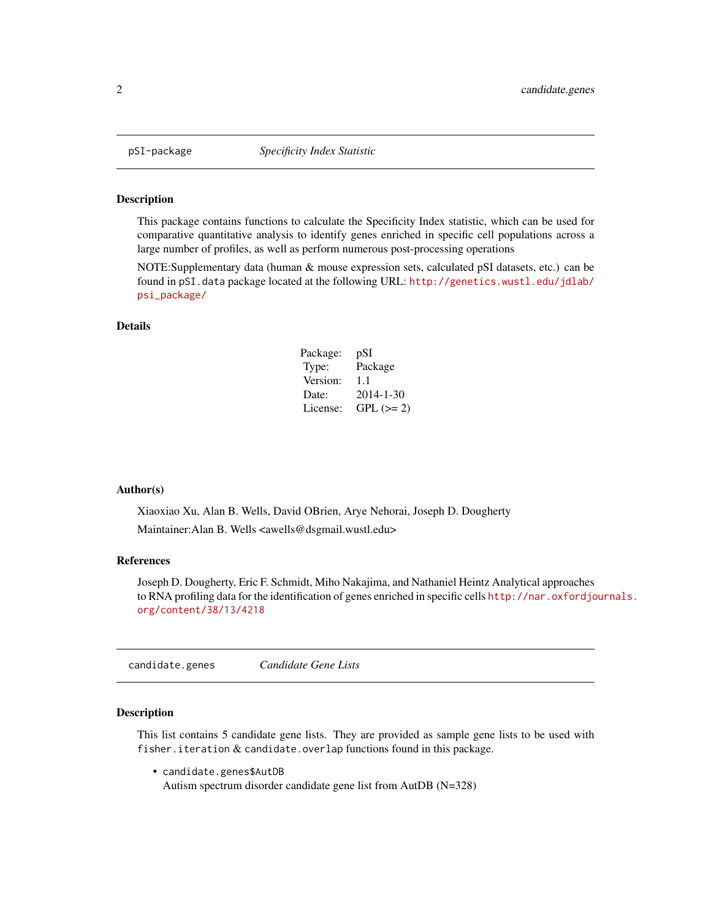<span id="page-1-0"></span>

#### Description

This package contains functions to calculate the Specificity Index statistic, which can be used for comparative quantitative analysis to identify genes enriched in specific cell populations across a large number of profiles, as well as perform numerous post-processing operations

NOTE:Supplementary data (human & mouse expression sets, calculated pSI datasets, etc.) can be found in pSI.data package located at the following URL: [http://genetics.wustl.edu/jdlab/](http://genetics.wustl.edu/jdlab/psi_package/) [psi\\_package/](http://genetics.wustl.edu/jdlab/psi_package/)

#### Details

| Package: | pSI        |
|----------|------------|
| Type:    | Package    |
| Version: | 1.1        |
| Date:    | 2014-1-30  |
| License: | $GPL (=2)$ |

#### Author(s)

Xiaoxiao Xu, Alan B. Wells, David OBrien, Arye Nehorai, Joseph D. Dougherty Maintainer:Alan B. Wells <awells@dsgmail.wustl.edu>

#### References

Joseph D. Dougherty, Eric F. Schmidt, Miho Nakajima, and Nathaniel Heintz Analytical approaches to RNA profiling data for the identification of genes enriched in specific cells [http://nar.oxfordjo](http://nar.oxfordjournals.org/content/38/13/4218)urnals. [org/content/38/13/4218](http://nar.oxfordjournals.org/content/38/13/4218)

candidate.genes *Candidate Gene Lists*

#### Description

This list contains 5 candidate gene lists. They are provided as sample gene lists to be used with fisher. iteration  $&$  candidate. overlap functions found in this package.

• candidate.genes\$AutDB Autism spectrum disorder candidate gene list from AutDB (N=328)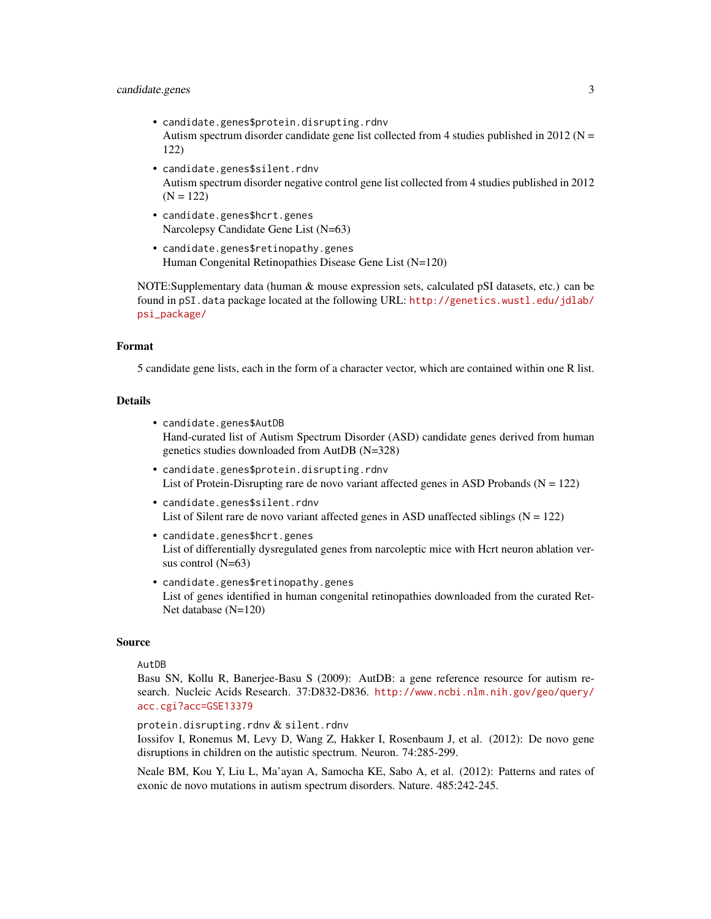#### candidate.genes 3

- candidate.genes\$protein.disrupting.rdnv Autism spectrum disorder candidate gene list collected from 4 studies published in 2012 ( $N =$ 122)
- candidate.genes\$silent.rdnv Autism spectrum disorder negative control gene list collected from 4 studies published in 2012  $(N = 122)$
- candidate.genes\$hcrt.genes Narcolepsy Candidate Gene List (N=63)
- candidate.genes\$retinopathy.genes Human Congenital Retinopathies Disease Gene List (N=120)

NOTE:Supplementary data (human & mouse expression sets, calculated pSI datasets, etc.) can be found in pSI.data package located at the following URL: [http://genetics.wustl.edu/jdlab/](http://genetics.wustl.edu/jdlab/psi_package/) [psi\\_package/](http://genetics.wustl.edu/jdlab/psi_package/)

#### Format

5 candidate gene lists, each in the form of a character vector, which are contained within one R list.

#### Details

- candidate.genes\$AutDB Hand-curated list of Autism Spectrum Disorder (ASD) candidate genes derived from human genetics studies downloaded from AutDB (N=328)
- candidate.genes\$protein.disrupting.rdnv List of Protein-Disrupting rare de novo variant affected genes in ASD Probands ( $N = 122$ )
- candidate.genes\$silent.rdnv List of Silent rare de novo variant affected genes in ASD unaffected siblings  $(N = 122)$
- candidate.genes\$hcrt.genes List of differentially dysregulated genes from narcoleptic mice with Hcrt neuron ablation versus control (N=63)
- candidate.genes\$retinopathy.genes List of genes identified in human congenital retinopathies downloaded from the curated Ret-Net database (N=120)

#### Source

#### AutDB

Basu SN, Kollu R, Banerjee-Basu S (2009): AutDB: a gene reference resource for autism research. Nucleic Acids Research. 37:D832-D836. [http://www.ncbi.nlm.nih.gov/geo/query/](http://www.ncbi.nlm.nih.gov/geo/query/acc.cgi?acc=GSE13379) [acc.cgi?acc=GSE13379](http://www.ncbi.nlm.nih.gov/geo/query/acc.cgi?acc=GSE13379)

protein.disrupting.rdnv & silent.rdnv

Iossifov I, Ronemus M, Levy D, Wang Z, Hakker I, Rosenbaum J, et al. (2012): De novo gene disruptions in children on the autistic spectrum. Neuron. 74:285-299.

Neale BM, Kou Y, Liu L, Ma'ayan A, Samocha KE, Sabo A, et al. (2012): Patterns and rates of exonic de novo mutations in autism spectrum disorders. Nature. 485:242-245.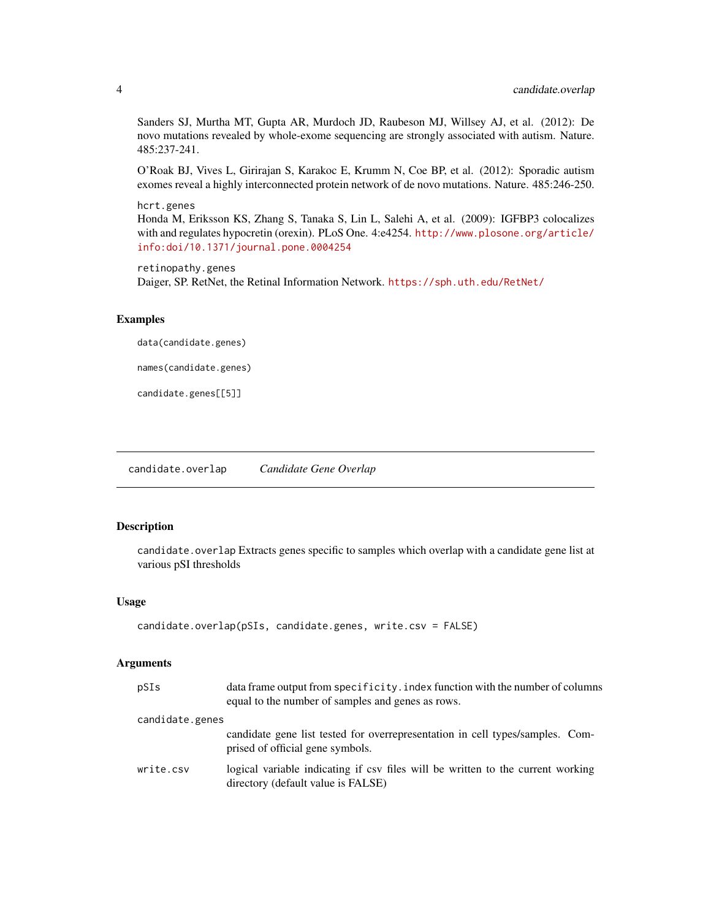Sanders SJ, Murtha MT, Gupta AR, Murdoch JD, Raubeson MJ, Willsey AJ, et al. (2012): De novo mutations revealed by whole-exome sequencing are strongly associated with autism. Nature. 485:237-241.

O'Roak BJ, Vives L, Girirajan S, Karakoc E, Krumm N, Coe BP, et al. (2012): Sporadic autism exomes reveal a highly interconnected protein network of de novo mutations. Nature. 485:246-250.

#### hcrt.genes

Honda M, Eriksson KS, Zhang S, Tanaka S, Lin L, Salehi A, et al. (2009): IGFBP3 colocalizes with and regulates hypocretin (orexin). PLoS One. 4:e4254. [http://www.plosone.org/article/](http://www.plosone.org/article/info:doi/10.1371/journal.pone.0004254) [info:doi/10.1371/journal.pone.0004254](http://www.plosone.org/article/info:doi/10.1371/journal.pone.0004254)

retinopathy.genes Daiger, SP. RetNet, the Retinal Information Network. <https://sph.uth.edu/RetNet/>

#### Examples

data(candidate.genes)

names(candidate.genes)

candidate.genes[[5]]

candidate.overlap *Candidate Gene Overlap*

#### Description

candidate.overlap Extracts genes specific to samples which overlap with a candidate gene list at various pSI thresholds

#### Usage

```
candidate.overlap(pSIs, candidate.genes, write.csv = FALSE)
```
#### Arguments

| pSIs            | data frame output from specificity. index function with the number of columns<br>equal to the number of samples and genes as rows. |
|-----------------|------------------------------------------------------------------------------------------------------------------------------------|
| candidate.genes |                                                                                                                                    |
|                 | candidate gene list tested for overrepresentation in cell types/samples. Com-<br>prised of official gene symbols.                  |
| write.csv       | logical variable indicating if csv files will be written to the current working<br>directory (default value is FALSE)              |

<span id="page-3-0"></span>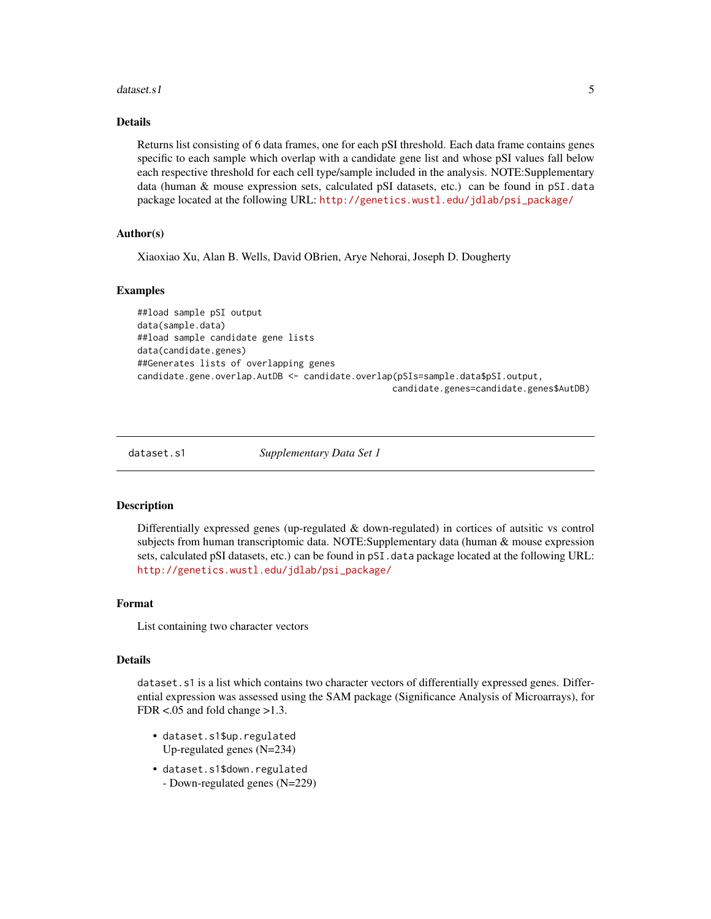#### <span id="page-4-0"></span> $dataset. s1$  5

#### Details

Returns list consisting of 6 data frames, one for each pSI threshold. Each data frame contains genes specific to each sample which overlap with a candidate gene list and whose pSI values fall below each respective threshold for each cell type/sample included in the analysis. NOTE:Supplementary data (human & mouse expression sets, calculated pSI datasets, etc.) can be found in pSI.data package located at the following URL: [http://genetics.wustl.edu/jdlab/psi\\_package/](http://genetics.wustl.edu/jdlab/psi_package/)

#### Author(s)

Xiaoxiao Xu, Alan B. Wells, David OBrien, Arye Nehorai, Joseph D. Dougherty

#### Examples

##load sample pSI output data(sample.data) ##load sample candidate gene lists data(candidate.genes) ##Generates lists of overlapping genes candidate.gene.overlap.AutDB <- candidate.overlap(pSIs=sample.data\$pSI.output, candidate.genes=candidate.genes\$AutDB)

dataset.s1 *Supplementary Data Set 1*

#### **Description**

Differentially expressed genes (up-regulated  $\&$  down-regulated) in cortices of autsitic vs control subjects from human transcriptomic data. NOTE:Supplementary data (human & mouse expression sets, calculated pSI datasets, etc.) can be found in pSI.data package located at the following URL: [http://genetics.wustl.edu/jdlab/psi\\_package/](http://genetics.wustl.edu/jdlab/psi_package/)

#### Format

List containing two character vectors

#### Details

dataset.s1 is a list which contains two character vectors of differentially expressed genes. Differential expression was assessed using the SAM package (Significance Analysis of Microarrays), for FDR <.05 and fold change >1.3.

- dataset.s1\$up.regulated Up-regulated genes (N=234)
- dataset.s1\$down.regulated - Down-regulated genes (N=229)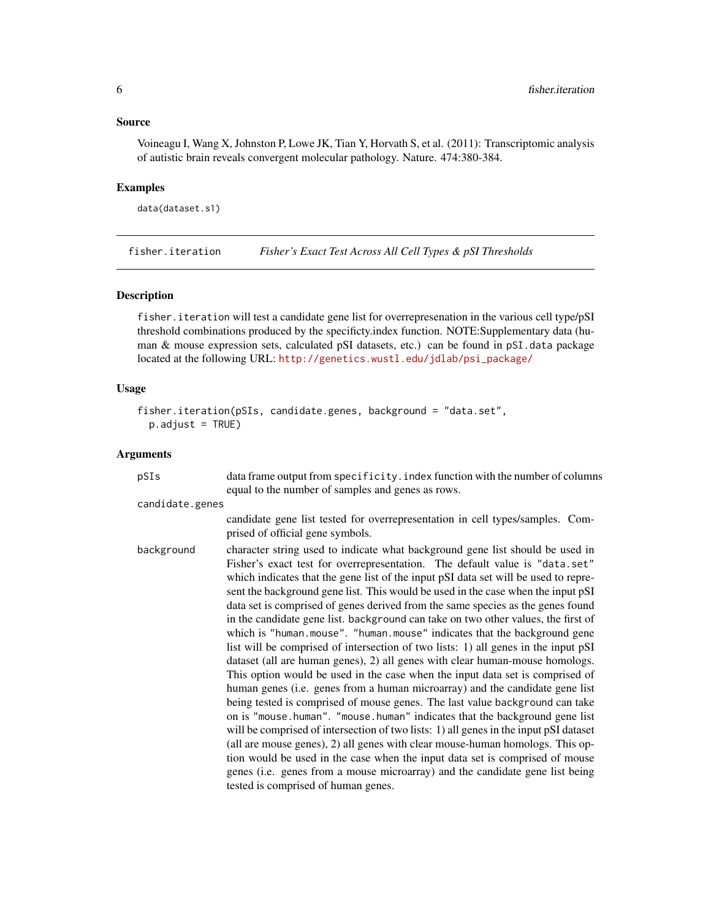#### <span id="page-5-0"></span>Source

Voineagu I, Wang X, Johnston P, Lowe JK, Tian Y, Horvath S, et al. (2011): Transcriptomic analysis of autistic brain reveals convergent molecular pathology. Nature. 474:380-384.

#### Examples

```
data(dataset.s1)
```
fisher.iteration *Fisher's Exact Test Across All Cell Types & pSI Thresholds*

#### Description

fisher.iteration will test a candidate gene list for overrepresenation in the various cell type/pSI threshold combinations produced by the specificty.index function. NOTE:Supplementary data (human & mouse expression sets, calculated pSI datasets, etc.) can be found in pSI.data package located at the following URL: [http://genetics.wustl.edu/jdlab/psi\\_package/](http://genetics.wustl.edu/jdlab/psi_package/)

#### Usage

```
fisher.iteration(pSIs, candidate.genes, background = "data.set",
 p.addjust = TRUE)
```
#### Arguments

| pSIs            | data frame output from specificity. index function with the number of columns<br>equal to the number of samples and genes as rows.                                                                                                                                                                                                                                                                                                                                                                                                                                                                                                                                                                                                                                                                                                                                                                                                                                                                                                                                                                                                                                                                                                                                                                                                                                                                                                                                                |
|-----------------|-----------------------------------------------------------------------------------------------------------------------------------------------------------------------------------------------------------------------------------------------------------------------------------------------------------------------------------------------------------------------------------------------------------------------------------------------------------------------------------------------------------------------------------------------------------------------------------------------------------------------------------------------------------------------------------------------------------------------------------------------------------------------------------------------------------------------------------------------------------------------------------------------------------------------------------------------------------------------------------------------------------------------------------------------------------------------------------------------------------------------------------------------------------------------------------------------------------------------------------------------------------------------------------------------------------------------------------------------------------------------------------------------------------------------------------------------------------------------------------|
| candidate.genes |                                                                                                                                                                                                                                                                                                                                                                                                                                                                                                                                                                                                                                                                                                                                                                                                                                                                                                                                                                                                                                                                                                                                                                                                                                                                                                                                                                                                                                                                                   |
|                 | candidate gene list tested for overrepresentation in cell types/samples. Com-<br>prised of official gene symbols.                                                                                                                                                                                                                                                                                                                                                                                                                                                                                                                                                                                                                                                                                                                                                                                                                                                                                                                                                                                                                                                                                                                                                                                                                                                                                                                                                                 |
| background      | character string used to indicate what background gene list should be used in<br>Fisher's exact test for overrepresentation. The default value is "data.set"<br>which indicates that the gene list of the input pSI data set will be used to repre-<br>sent the background gene list. This would be used in the case when the input pSI<br>data set is comprised of genes derived from the same species as the genes found<br>in the candidate gene list. background can take on two other values, the first of<br>which is "human.mouse". "human.mouse" indicates that the background gene<br>list will be comprised of intersection of two lists: 1) all genes in the input pSI<br>dataset (all are human genes), 2) all genes with clear human-mouse homologs.<br>This option would be used in the case when the input data set is comprised of<br>human genes (i.e. genes from a human microarray) and the candidate gene list<br>being tested is comprised of mouse genes. The last value background can take<br>on is "mouse.human". "mouse.human" indicates that the background gene list<br>will be comprised of intersection of two lists: 1) all genes in the input pSI dataset<br>(all are mouse genes), 2) all genes with clear mouse-human homologs. This op-<br>tion would be used in the case when the input data set is comprised of mouse<br>genes (i.e. genes from a mouse microarray) and the candidate gene list being<br>tested is comprised of human genes. |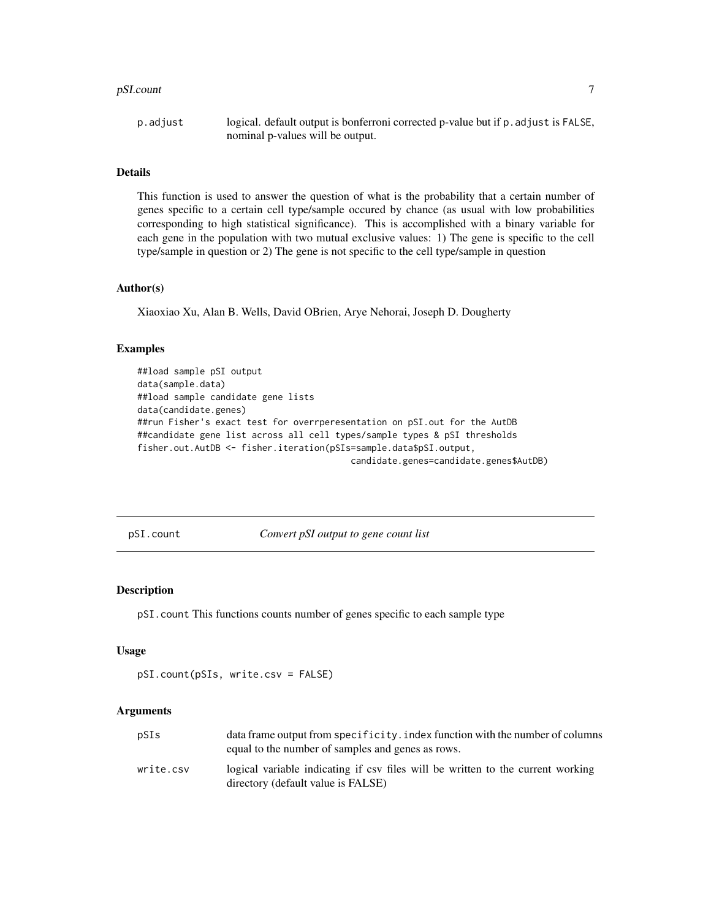#### <span id="page-6-0"></span>pSI.count 7

p.adjust logical. default output is bonferroni corrected p-value but if p.adjust is FALSE, nominal p-values will be output.

#### Details

This function is used to answer the question of what is the probability that a certain number of genes specific to a certain cell type/sample occured by chance (as usual with low probabilities corresponding to high statistical significance). This is accomplished with a binary variable for each gene in the population with two mutual exclusive values: 1) The gene is specific to the cell type/sample in question or 2) The gene is not specific to the cell type/sample in question

#### Author(s)

Xiaoxiao Xu, Alan B. Wells, David OBrien, Arye Nehorai, Joseph D. Dougherty

#### Examples

```
##load sample pSI output
data(sample.data)
##load sample candidate gene lists
data(candidate.genes)
##run Fisher's exact test for overrperesentation on pSI.out for the AutDB
##candidate gene list across all cell types/sample types & pSI thresholds
fisher.out.AutDB <- fisher.iteration(pSIs=sample.data$pSI.output,
                                         candidate.genes=candidate.genes$AutDB)
```
pSI.count *Convert pSI output to gene count list*

#### Description

pSI.count This functions counts number of genes specific to each sample type

#### Usage

```
pSI.count(pSIs, write.csv = FALSE)
```
#### Arguments

| pSIs      | data frame output from specificity. index function with the number of columns<br>equal to the number of samples and genes as rows. |
|-----------|------------------------------------------------------------------------------------------------------------------------------------|
| write.csv | logical variable indicating if csy files will be written to the current working<br>directory (default value is FALSE)              |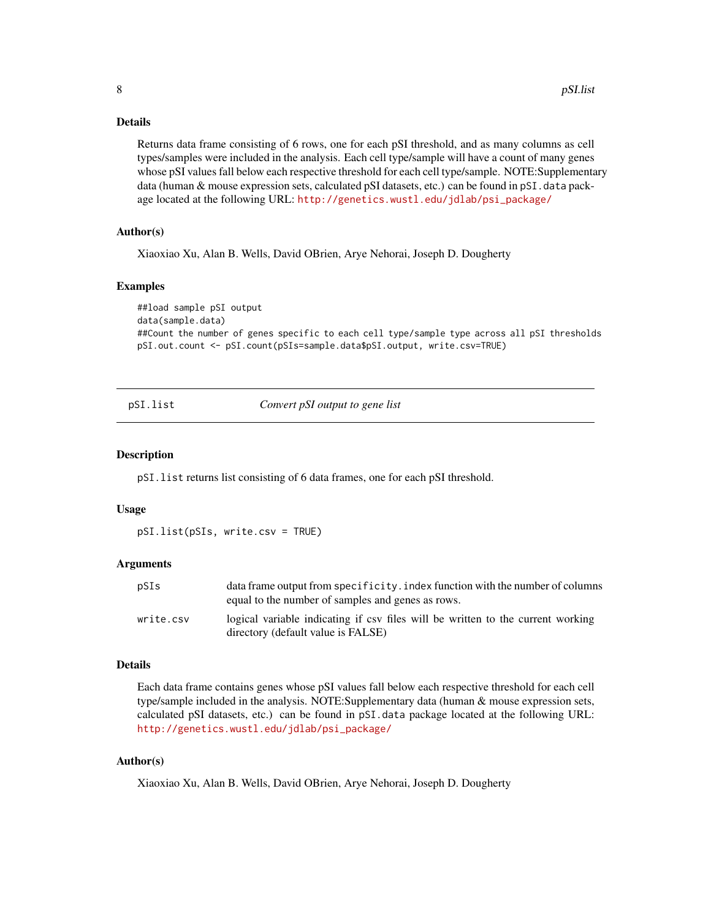#### <span id="page-7-0"></span>Details

Returns data frame consisting of 6 rows, one for each pSI threshold, and as many columns as cell types/samples were included in the analysis. Each cell type/sample will have a count of many genes whose pSI values fall below each respective threshold for each cell type/sample. NOTE:Supplementary data (human & mouse expression sets, calculated pSI datasets, etc.) can be found in pSI. data package located at the following URL: [http://genetics.wustl.edu/jdlab/psi\\_package/](http://genetics.wustl.edu/jdlab/psi_package/)

#### Author(s)

Xiaoxiao Xu, Alan B. Wells, David OBrien, Arye Nehorai, Joseph D. Dougherty

#### Examples

```
##load sample pSI output
data(sample.data)
##Count the number of genes specific to each cell type/sample type across all pSI thresholds
pSI.out.count <- pSI.count(pSIs=sample.data$pSI.output, write.csv=TRUE)
```
pSI.list *Convert pSI output to gene list*

#### Description

pSI.list returns list consisting of 6 data frames, one for each pSI threshold.

#### Usage

pSI.list(pSIs, write.csv = TRUE)

#### **Arguments**

| pSIs      | data frame output from specificity. index function with the number of columns<br>equal to the number of samples and genes as rows. |
|-----------|------------------------------------------------------------------------------------------------------------------------------------|
| write.csv | logical variable indicating if csy files will be written to the current working<br>directory (default value is FALSE)              |

#### Details

Each data frame contains genes whose pSI values fall below each respective threshold for each cell type/sample included in the analysis. NOTE:Supplementary data (human & mouse expression sets, calculated pSI datasets, etc.) can be found in pSI.data package located at the following URL: [http://genetics.wustl.edu/jdlab/psi\\_package/](http://genetics.wustl.edu/jdlab/psi_package/)

#### Author(s)

Xiaoxiao Xu, Alan B. Wells, David OBrien, Arye Nehorai, Joseph D. Dougherty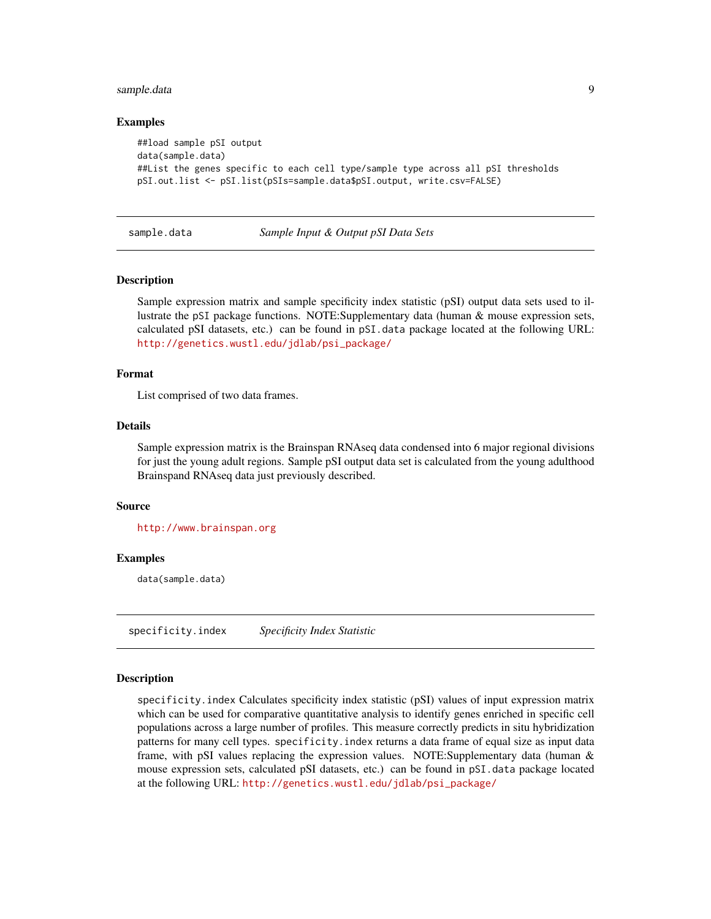#### <span id="page-8-0"></span>sample.data 9

#### Examples

```
##load sample pSI output
data(sample.data)
##List the genes specific to each cell type/sample type across all pSI thresholds
pSI.out.list <- pSI.list(pSIs=sample.data$pSI.output, write.csv=FALSE)
```
#### sample.data *Sample Input & Output pSI Data Sets*

#### **Description**

Sample expression matrix and sample specificity index statistic (pSI) output data sets used to illustrate the pSI package functions. NOTE:Supplementary data (human & mouse expression sets, calculated pSI datasets, etc.) can be found in pSI.data package located at the following URL: [http://genetics.wustl.edu/jdlab/psi\\_package/](http://genetics.wustl.edu/jdlab/psi_package/)

#### Format

List comprised of two data frames.

#### Details

Sample expression matrix is the Brainspan RNAseq data condensed into 6 major regional divisions for just the young adult regions. Sample pSI output data set is calculated from the young adulthood Brainspand RNAseq data just previously described.

#### Source

<http://www.brainspan.org>

#### Examples

data(sample.data)

specificity.index *Specificity Index Statistic*

#### Description

specificity.index Calculates specificity index statistic (pSI) values of input expression matrix which can be used for comparative quantitative analysis to identify genes enriched in specific cell populations across a large number of profiles. This measure correctly predicts in situ hybridization patterns for many cell types. specificity.index returns a data frame of equal size as input data frame, with pSI values replacing the expression values. NOTE:Supplementary data (human & mouse expression sets, calculated pSI datasets, etc.) can be found in pSI.data package located at the following URL: [http://genetics.wustl.edu/jdlab/psi\\_package/](http://genetics.wustl.edu/jdlab/psi_package/)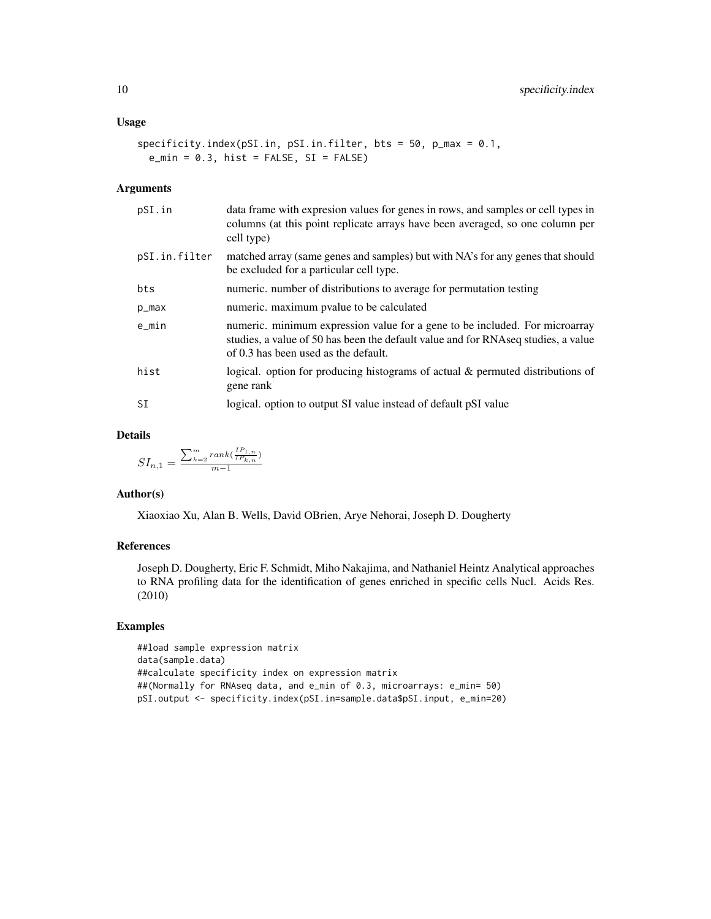```
specificity.index(pSI.in, pSI.in.filter, bts = 50, p_max = 0.1,
 e_{min} = 0.3, hist = FALSE, SI = FALSE)
```
#### Arguments

| pSI.in        | data frame with expression values for genes in rows, and samples or cell types in<br>columns (at this point replicate arrays have been averaged, so one column per<br>cell type)                         |
|---------------|----------------------------------------------------------------------------------------------------------------------------------------------------------------------------------------------------------|
| pSI.in.filter | matched array (same genes and samples) but with NA's for any genes that should<br>be excluded for a particular cell type.                                                                                |
| bts           | numeric. number of distributions to average for permutation testing                                                                                                                                      |
| p_max         | numeric. maximum pvalue to be calculated                                                                                                                                                                 |
| $e$ _min      | numeric. minimum expression value for a gene to be included. For microarray<br>studies, a value of 50 has been the default value and for RNAseq studies, a value<br>of 0.3 has been used as the default. |
| hist          | logical. option for producing histograms of actual & permuted distributions of<br>gene rank                                                                                                              |
| SI            | logical. option to output SI value instead of default pSI value                                                                                                                                          |
|               |                                                                                                                                                                                                          |

#### Details

$$
SI_{n,1}=\frac{\sum_{k=2}^{m}rank(\frac{IP_{1,n}}{IP_{k,n}})}{m-1}
$$

#### Author(s)

Xiaoxiao Xu, Alan B. Wells, David OBrien, Arye Nehorai, Joseph D. Dougherty

#### References

Joseph D. Dougherty, Eric F. Schmidt, Miho Nakajima, and Nathaniel Heintz Analytical approaches to RNA profiling data for the identification of genes enriched in specific cells Nucl. Acids Res. (2010)

#### Examples

```
##load sample expression matrix
data(sample.data)
##calculate specificity index on expression matrix
##(Normally for RNAseq data, and e_min of 0.3, microarrays: e_min= 50)
pSI.output <- specificity.index(pSI.in=sample.data$pSI.input, e_min=20)
```